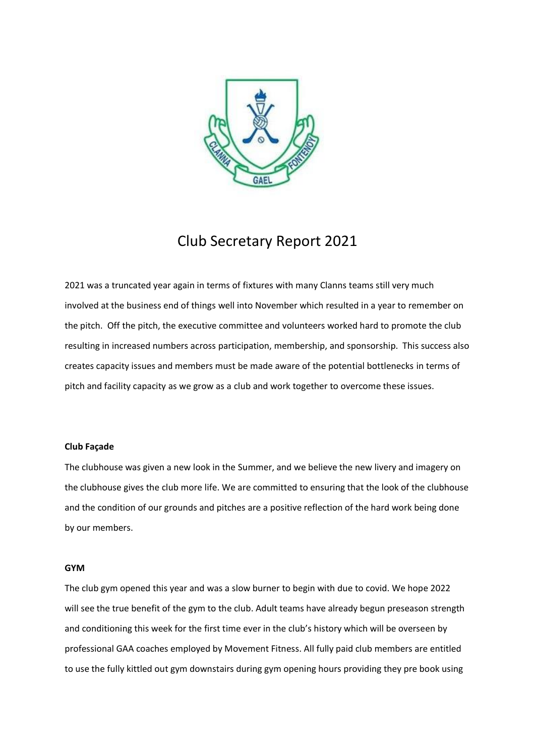

# Club Secretary Report 2021

2021 was a truncated year again in terms of fixtures with many Clanns teams still very much involved at the business end of things well into November which resulted in a year to remember on the pitch. Off the pitch, the executive committee and volunteers worked hard to promote the club resulting in increased numbers across participation, membership, and sponsorship. This success also creates capacity issues and members must be made aware of the potential bottlenecks in terms of pitch and facility capacity as we grow as a club and work together to overcome these issues.

# **Club Façade**

The clubhouse was given a new look in the Summer, and we believe the new livery and imagery on the clubhouse gives the club more life. We are committed to ensuring that the look of the clubhouse and the condition of our grounds and pitches are a positive reflection of the hard work being done by our members.

# **GYM**

The club gym opened this year and was a slow burner to begin with due to covid. We hope 2022 will see the true benefit of the gym to the club. Adult teams have already begun preseason strength and conditioning this week for the first time ever in the club's history which will be overseen by professional GAA coaches employed by Movement Fitness. All fully paid club members are entitled to use the fully kittled out gym downstairs during gym opening hours providing they pre book using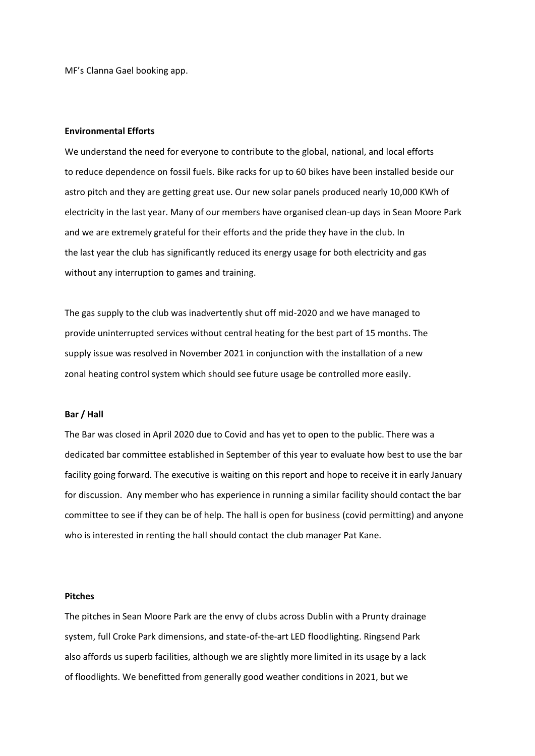MF's Clanna Gael booking app.

#### **Environmental Efforts**

We understand the need for everyone to contribute to the global, national, and local efforts to reduce dependence on fossil fuels. Bike racks for up to 60 bikes have been installed beside our astro pitch and they are getting great use. Our new solar panels produced nearly 10,000 KWh of electricity in the last year. Many of our members have organised clean-up days in Sean Moore Park and we are extremely grateful for their efforts and the pride they have in the club. In the last year the club has significantly reduced its energy usage for both electricity and gas without any interruption to games and training.

The gas supply to the club was inadvertently shut off mid-2020 and we have managed to provide uninterrupted services without central heating for the best part of 15 months. The supply issue was resolved in November 2021 in conjunction with the installation of a new zonal heating control system which should see future usage be controlled more easily.

#### **Bar / Hall**

The Bar was closed in April 2020 due to Covid and has yet to open to the public. There was a dedicated bar committee established in September of this year to evaluate how best to use the bar facility going forward. The executive is waiting on this report and hope to receive it in early January for discussion. Any member who has experience in running a similar facility should contact the bar committee to see if they can be of help. The hall is open for business (covid permitting) and anyone who is interested in renting the hall should contact the club manager Pat Kane.

### **Pitches**

The pitches in Sean Moore Park are the envy of clubs across Dublin with a Prunty drainage system, full Croke Park dimensions, and state-of-the-art LED floodlighting. Ringsend Park also affords us superb facilities, although we are slightly more limited in its usage by a lack of floodlights. We benefitted from generally good weather conditions in 2021, but we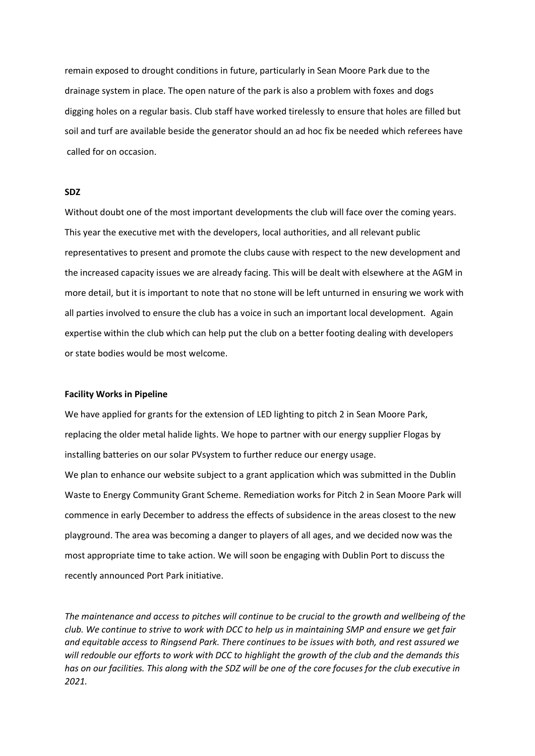remain exposed to drought conditions in future, particularly in Sean Moore Park due to the drainage system in place. The open nature of the park is also a problem with foxes and dogs digging holes on a regular basis. Club staff have worked tirelessly to ensure that holes are filled but soil and turf are available beside the generator should an ad hoc fix be needed which referees have called for on occasion.

# **SDZ**

Without doubt one of the most important developments the club will face over the coming years. This year the executive met with the developers, local authorities, and all relevant public representatives to present and promote the clubs cause with respect to the new development and the increased capacity issues we are already facing. This will be dealt with elsewhere at the AGM in more detail, but it is important to note that no stone will be left unturned in ensuring we work with all parties involved to ensure the club has a voice in such an important local development. Again expertise within the club which can help put the club on a better footing dealing with developers or state bodies would be most welcome.

#### **Facility Works in Pipeline**

We have applied for grants for the extension of LED lighting to pitch 2 in Sean Moore Park, replacing the older metal halide lights. We hope to partner with our energy supplier Flogas by installing batteries on our solar PVsystem to further reduce our energy usage.

We plan to enhance our website subject to a grant application which was submitted in the Dublin Waste to Energy Community Grant Scheme. Remediation works for Pitch 2 in Sean Moore Park will commence in early December to address the effects of subsidence in the areas closest to the new playground. The area was becoming a danger to players of all ages, and we decided now was the most appropriate time to take action. We will soon be engaging with Dublin Port to discuss the recently announced Port Park initiative.

*The maintenance and access to pitches will continue to be crucial to the growth and wellbeing of the club. We continue to strive to work with DCC to help us in maintaining SMP and ensure we get fair and equitable access to Ringsend Park. There continues to be issues with both, and rest assured we will redouble our efforts to work with DCC to highlight the growth of the club and the demands this has on our facilities. This along with the SDZ will be one of the core focuses for the club executive in 2021.*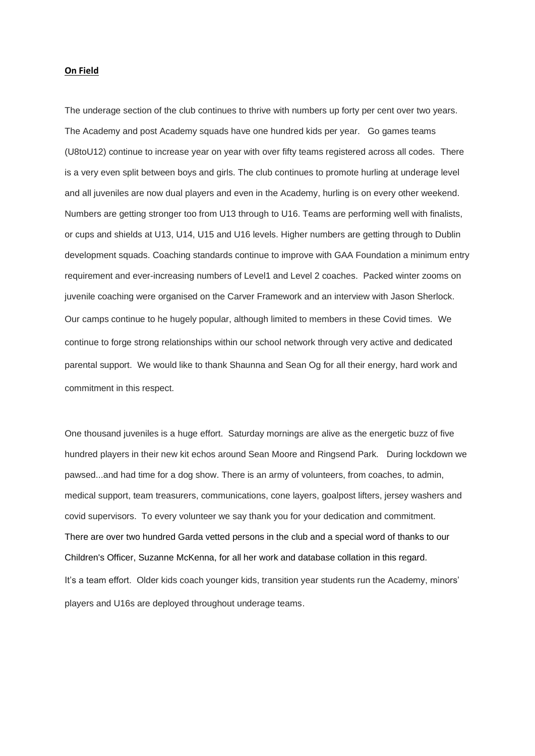#### **On Field**

The underage section of the club continues to thrive with numbers up forty per cent over two years. The Academy and post Academy squads have one hundred kids per year. Go games teams (U8toU12) continue to increase year on year with over fifty teams registered across all codes. There is a very even split between boys and girls. The club continues to promote hurling at underage level and all juveniles are now dual players and even in the Academy, hurling is on every other weekend. Numbers are getting stronger too from U13 through to U16. Teams are performing well with finalists, or cups and shields at U13, U14, U15 and U16 levels. Higher numbers are getting through to Dublin development squads. Coaching standards continue to improve with GAA Foundation a minimum entry requirement and ever-increasing numbers of Level1 and Level 2 coaches. Packed winter zooms on juvenile coaching were organised on the Carver Framework and an interview with Jason Sherlock. Our camps continue to he hugely popular, although limited to members in these Covid times. We continue to forge strong relationships within our school network through very active and dedicated parental support. We would like to thank Shaunna and Sean Og for all their energy, hard work and commitment in this respect.

One thousand juveniles is a huge effort. Saturday mornings are alive as the energetic buzz of five hundred players in their new kit echos around Sean Moore and Ringsend Park. During lockdown we pawsed...and had time for a dog show. There is an army of volunteers, from coaches, to admin, medical support, team treasurers, communications, cone layers, goalpost lifters, jersey washers and covid supervisors. To every volunteer we say thank you for your dedication and commitment. There are over two hundred Garda vetted persons in the club and a special word of thanks to our Children's Officer, Suzanne McKenna, for all her work and database collation in this regard. It's a team effort. Older kids coach younger kids, transition year students run the Academy, minors' players and U16s are deployed throughout underage teams.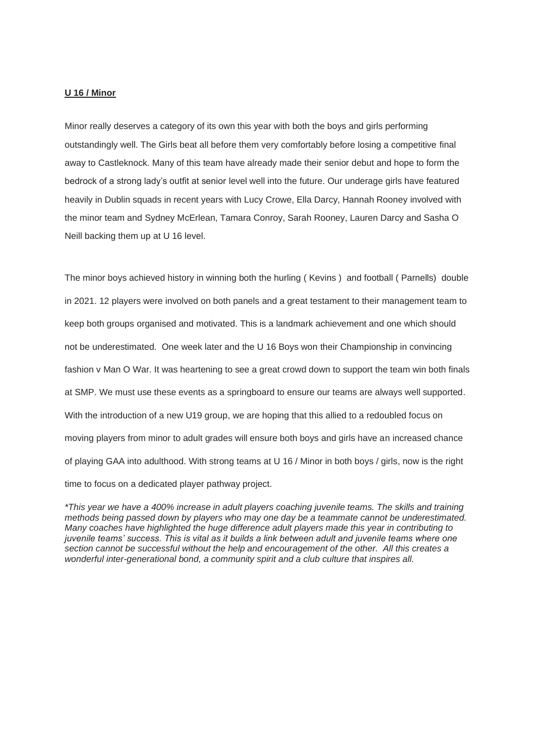# **U 16 / Minor**

Minor really deserves a category of its own this year with both the boys and girls performing outstandingly well. The Girls beat all before them very comfortably before losing a competitive final away to Castleknock. Many of this team have already made their senior debut and hope to form the bedrock of a strong lady's outfit at senior level well into the future. Our underage girls have featured heavily in Dublin squads in recent years with Lucy Crowe, Ella Darcy, Hannah Rooney involved with the minor team and Sydney McErlean, Tamara Conroy, Sarah Rooney, Lauren Darcy and Sasha O Neill backing them up at U 16 level.

The minor boys achieved history in winning both the hurling ( Kevins ) and football ( Parnells) double in 2021. 12 players were involved on both panels and a great testament to their management team to keep both groups organised and motivated. This is a landmark achievement and one which should not be underestimated. One week later and the U 16 Boys won their Championship in convincing fashion v Man O War. It was heartening to see a great crowd down to support the team win both finals at SMP. We must use these events as a springboard to ensure our teams are always well supported. With the introduction of a new U19 group, we are hoping that this allied to a redoubled focus on moving players from minor to adult grades will ensure both boys and girls have an increased chance of playing GAA into adulthood. With strong teams at U 16 / Minor in both boys / girls, now is the right time to focus on a dedicated player pathway project.

*\*This year we have a 400% increase in adult players coaching juvenile teams. The skills and training methods being passed down by players who may one day be a teammate cannot be underestimated. Many coaches have highlighted the huge difference adult players made this year in contributing to juvenile teams' success. This is vital as it builds a link between adult and juvenile teams where one section cannot be successful without the help and encouragement of the other. All this creates a wonderful inter-generational bond, a community spirit and a club culture that inspires all.*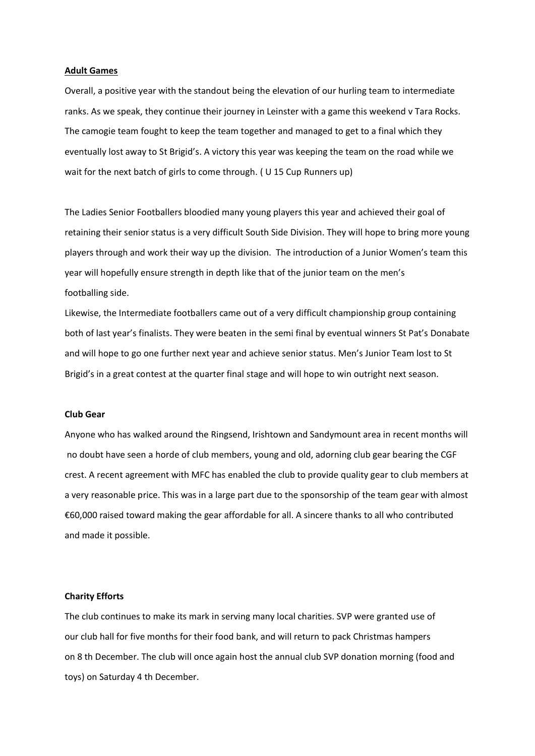#### **Adult Games**

Overall, a positive year with the standout being the elevation of our hurling team to intermediate ranks. As we speak, they continue their journey in Leinster with a game this weekend v Tara Rocks. The camogie team fought to keep the team together and managed to get to a final which they eventually lost away to St Brigid's. A victory this year was keeping the team on the road while we wait for the next batch of girls to come through. (U 15 Cup Runners up)

The Ladies Senior Footballers bloodied many young players this year and achieved their goal of retaining their senior status is a very difficult South Side Division. They will hope to bring more young players through and work their way up the division. The introduction of a Junior Women's team this year will hopefully ensure strength in depth like that of the junior team on the men's footballing side.

Likewise, the Intermediate footballers came out of a very difficult championship group containing both of last year's finalists. They were beaten in the semi final by eventual winners St Pat's Donabate and will hope to go one further next year and achieve senior status. Men's Junior Team lost to St Brigid's in a great contest at the quarter final stage and will hope to win outright next season.

#### **Club Gear**

Anyone who has walked around the Ringsend, Irishtown and Sandymount area in recent months will no doubt have seen a horde of club members, young and old, adorning club gear bearing the CGF crest. A recent agreement with MFC has enabled the club to provide quality gear to club members at a very reasonable price. This was in a large part due to the sponsorship of the team gear with almost €60,000 raised toward making the gear affordable for all. A sincere thanks to all who contributed and made it possible.

#### **Charity Efforts**

The club continues to make its mark in serving many local charities. SVP were granted use of our club hall for five months for their food bank, and will return to pack Christmas hampers on 8 th December. The club will once again host the annual club SVP donation morning (food and toys) on Saturday 4 th December.